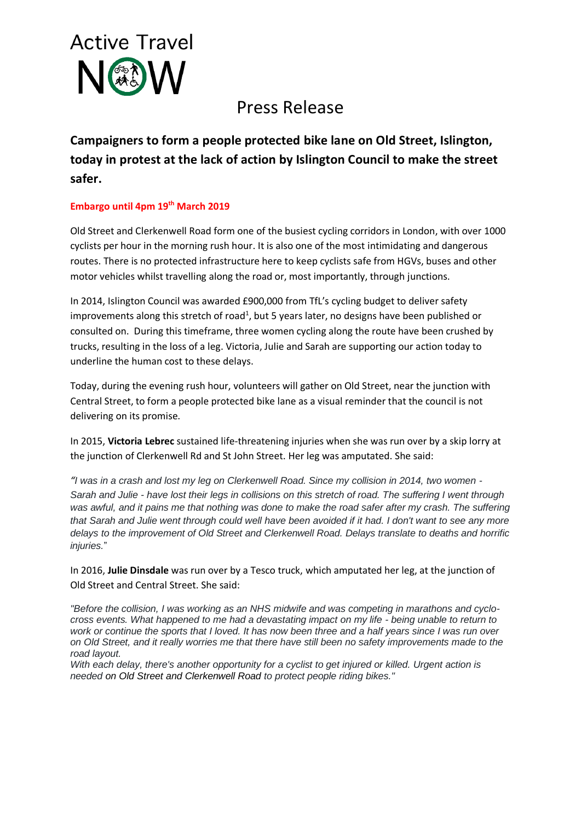

# Press Release

**Campaigners to form a people protected bike lane on Old Street, Islington, today in protest at the lack of action by Islington Council to make the street safer.**

# **Embargo until 4pm 19th March 2019**

Old Street and Clerkenwell Road form one of the busiest cycling corridors in London, with over 1000 cyclists per hour in the morning rush hour. It is also one of the most intimidating and dangerous routes. There is no protected infrastructure here to keep cyclists safe from HGVs, buses and other motor vehicles whilst travelling along the road or, most importantly, through junctions.

In 2014, Islington Council was awarded £900,000 from TfL's cycling budget to deliver safety improvements along this stretch of road<sup>1</sup>, but 5 years later, no designs have been published or consulted on. During this timeframe, three women cycling along the route have been crushed by trucks, resulting in the loss of a leg. Victoria, Julie and Sarah are supporting our action today to underline the human cost to these delays.

Today, during the evening rush hour, volunteers will gather on Old Street, near the junction with Central Street, to form a people protected bike lane as a visual reminder that the council is not delivering on its promise.

In 2015, **Victoria Lebrec** sustained life-threatening injuries when she was run over by a skip lorry at the junction of Clerkenwell Rd and St John Street. Her leg was amputated. She said:

*"I was in a crash and lost my leg on Clerkenwell Road. Since my collision in 2014, two women - Sarah and Julie - have lost their legs in collisions on this stretch of road. The suffering I went through was awful, and it pains me that nothing was done to make the road safer after my crash. The suffering that Sarah and Julie went through could well have been avoided if it had. I don't want to see any more delays to the improvement of Old Street and Clerkenwell Road. Delays translate to deaths and horrific injuries.*"

In 2016, **Julie Dinsdale** was run over by a Tesco truck, which amputated her leg, at the junction of Old Street and Central Street. She said:

*"Before the collision, I was working as an NHS midwife and was competing in marathons and cyclocross events. What happened to me had a devastating impact on my life - being unable to return to work or continue the sports that I loved. It has now been three and a half years since I was run over on Old Street, and it really worries me that there have still been no safety improvements made to the road layout.*

*With each delay, there's another opportunity for a cyclist to get injured or killed. Urgent action is needed on Old Street and Clerkenwell Road to protect people riding bikes."*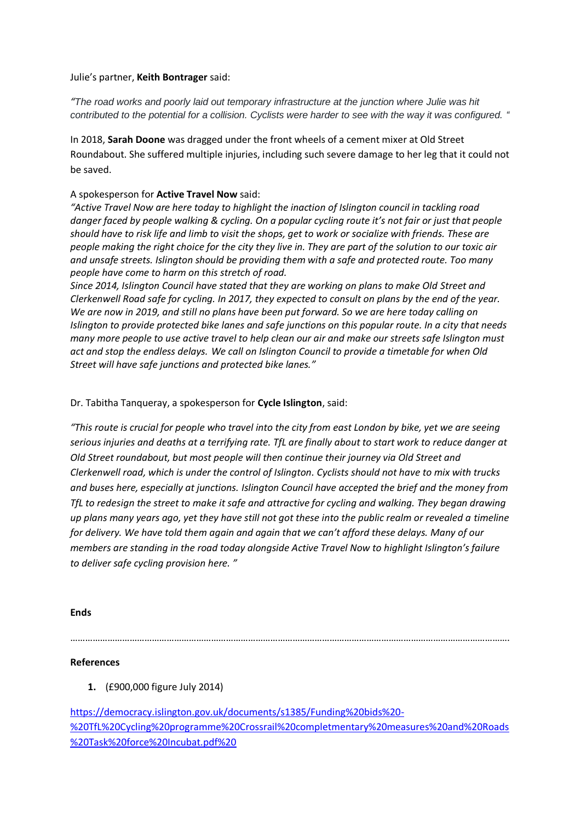Julie's partner, **Keith Bontrager** said:

*"The road works and poorly laid out temporary infrastructure at the junction where Julie was hit contributed to the potential for a collision. Cyclists were harder to see with the way it was configured. "*

In 2018, **Sarah Doone** was dragged under the front wheels of a cement mixer at Old Street Roundabout. She suffered multiple injuries, including such severe damage to her leg that it could not be saved.

## A spokesperson for **Active Travel Now** said:

*"Active Travel Now are here today to highlight the inaction of Islington council in tackling road danger faced by people walking & cycling. On a popular cycling route it's not fair or just that people should have to risk life and limb to visit the shops, get to work or socialize with friends. These are people making the right choice for the city they live in. They are part of the solution to our toxic air and unsafe streets. Islington should be providing them with a safe and protected route. Too many people have come to harm on this stretch of road.* 

*Since 2014, Islington Council have stated that they are working on plans to make Old Street and Clerkenwell Road safe for cycling. In 2017, they expected to consult on plans by the end of the year. We are now in 2019, and still no plans have been put forward. So we are here today calling on Islington to provide protected bike lanes and safe junctions on this popular route. In a city that needs many more people to use active travel to help clean our air and make our streets safe Islington must act and stop the endless delays. We call on Islington Council to provide a timetable for when Old Street will have safe junctions and protected bike lanes."*

#### Dr. Tabitha Tanqueray, a spokesperson for **Cycle Islington**, said:

*"This route is crucial for people who travel into the city from east London by bike, yet we are seeing serious injuries and deaths at a terrifying rate. TfL are finally about to start work to reduce danger at Old Street roundabout, but most people will then continue their journey via Old Street and Clerkenwell road, which is under the control of Islington. Cyclists should not have to mix with trucks and buses here, especially at junctions. Islington Council have accepted the brief and the money from TfL to redesign the street to make it safe and attractive for cycling and walking. They began drawing up plans many years ago, yet they have still not got these into the public realm or revealed a timeline for delivery. We have told them again and again that we can't afford these delays. Many of our members are standing in the road today alongside Active Travel Now to highlight Islington's failure to deliver safe cycling provision here. "*

#### **Ends**

…………………………………………………………………………………………………………………………………………………………….

### **References**

**1.** (£900,000 figure July 2014)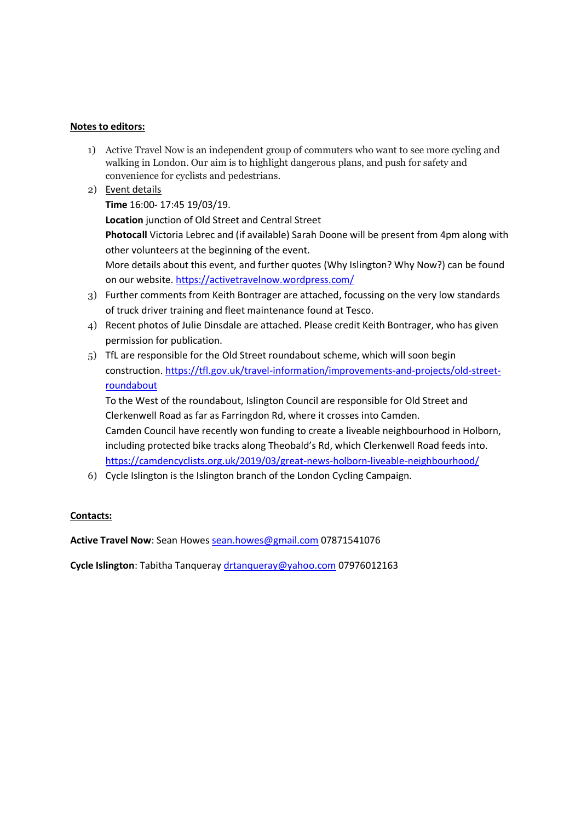## **Notes to editors:**

- 1) Active Travel Now is an independent group of commuters who want to see more cycling and walking in London. Our aim is to highlight dangerous plans, and push for safety and convenience for cyclists and pedestrians.
- 2) Event details

**Time** 16:00- 17:45 19/03/19.

**Location** junction of Old Street and Central Street

**Photocall** Victoria Lebrec and (if available) Sarah Doone will be present from 4pm along with other volunteers at the beginning of the event.

More details about this event, and further quotes (Why Islington? Why Now?) can be found on our website.<https://activetravelnow.wordpress.com/>

- 3) Further comments from Keith Bontrager are attached, focussing on the very low standards of truck driver training and fleet maintenance found at Tesco.
- 4) Recent photos of Julie Dinsdale are attached. Please credit Keith Bontrager, who has given permission for publication.
- 5) TfL are responsible for the Old Street roundabout scheme, which will soon begin construction. [https://tfl.gov.uk/travel-information/improvements-and-projects/old-street](https://tfl.gov.uk/travel-information/improvements-and-projects/old-street-roundabout)[roundabout](https://tfl.gov.uk/travel-information/improvements-and-projects/old-street-roundabout)

To the West of the roundabout, Islington Council are responsible for Old Street and Clerkenwell Road as far as Farringdon Rd, where it crosses into Camden. Camden Council have recently won funding to create a liveable neighbourhood in Holborn, including protected bike tracks along Theobald's Rd, which Clerkenwell Road feeds into. <https://camdencyclists.org.uk/2019/03/great-news-holborn-liveable-neighbourhood/>

6) Cycle Islington is the Islington branch of the London Cycling Campaign.

# **Contacts:**

**Active Travel Now**: Sean Howes [sean.howes@gmail.com](mailto:sean.howes@gmail.com) 07871541076

**Cycle Islington**: Tabitha Tanqueray [drtanqueray@yahoo.com](mailto:drtanqueray@yahoo.com) 07976012163